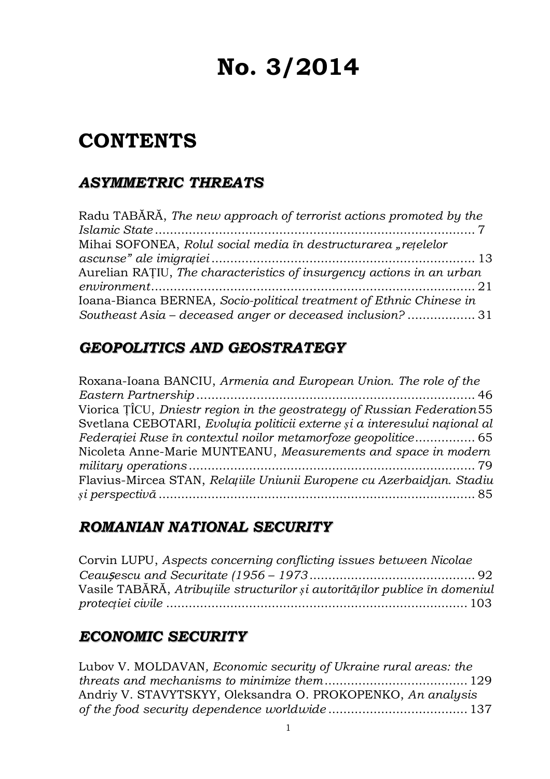# **No. 3/2014**

## **CONTENTS**

## *ASYMMETRIC THREATS*

| Radu TABĂRĂ, The new approach of terrorist actions promoted by the    |  |
|-----------------------------------------------------------------------|--|
|                                                                       |  |
| Mihai SOFONEA, Rolul social media în destructurarea "rețelelor        |  |
|                                                                       |  |
| Aurelian RATIU, The characteristics of insurgency actions in an urban |  |
|                                                                       |  |
| Ioana-Bianca BERNEA, Socio-political treatment of Ethnic Chinese in   |  |
| Southeast Asia - deceased anger or deceased inclusion? 31             |  |

## *GEOPOLITICS AND GEOSTRATEGY*

| Roxana-Ioana BANCIU, Armenia and European Union. The role of the           |
|----------------------------------------------------------------------------|
|                                                                            |
| Viorica TICU, Dniestr region in the geostrategy of Russian Federation 55   |
| Svetlana CEBOTARI, Evoluția politicii externe și a interesului național al |
| Federației Ruse în contextul noilor metamorfoze geopolitice 65             |
| Nicoleta Anne-Marie MUNTEANU, Measurements and space in modern             |
|                                                                            |
| Flavius-Mircea STAN, Relațiile Uniunii Europene cu Azerbaidjan. Stadiu     |
|                                                                            |

### *ROMANIAN NATIONAL SECURITY*

```
Corvin LUPU, Aspects concerning conflicting issues between Nicolae
Ceaușescu and Securitate (1956 – 1973 ............................................ 92
Vasile TABĂRĂ, Atribuțiile structurilor și autorităților publice în domeniul
protecției civile ................................................................................ 103
```
## *ECONOMIC SECURITY*

Lubov V. MOLDAVAN*, Economic security of Ukraine rural areas: the threats and mechanisms to minimize them*...................................... 129 Andriy V. STAVYTSKYY, Oleksandra O. PROKOPENKO, *An analysis of the food security dependence worldwide* ..................................... 137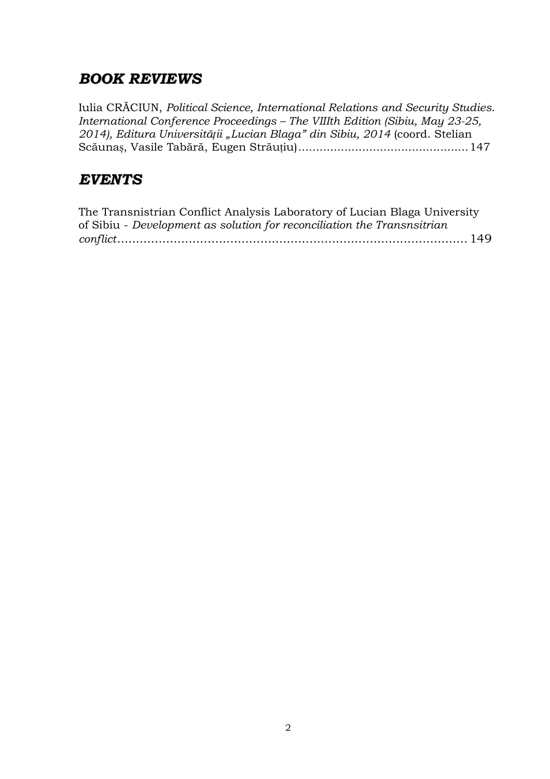## *BOOK REVIEWS*

Iulia CRĂCIUN, *Political Science, International Relations and Security Studies. International Conference Proceedings – The VIIIth Edition (Sibiu, May 23-25, 2014), Editura Universității "Lucian Blaga" din Sibiu, 2014* (coord. Stelian Scăunaș, Vasile Tabără, Eugen Străuțiu)................................................147

## *EVENTS*

| The Transnistrian Conflict Analysis Laboratory of Lucian Blaga University |  |  |
|---------------------------------------------------------------------------|--|--|
| of Sibiu - Development as solution for reconciliation the Transnsitrian   |  |  |
|                                                                           |  |  |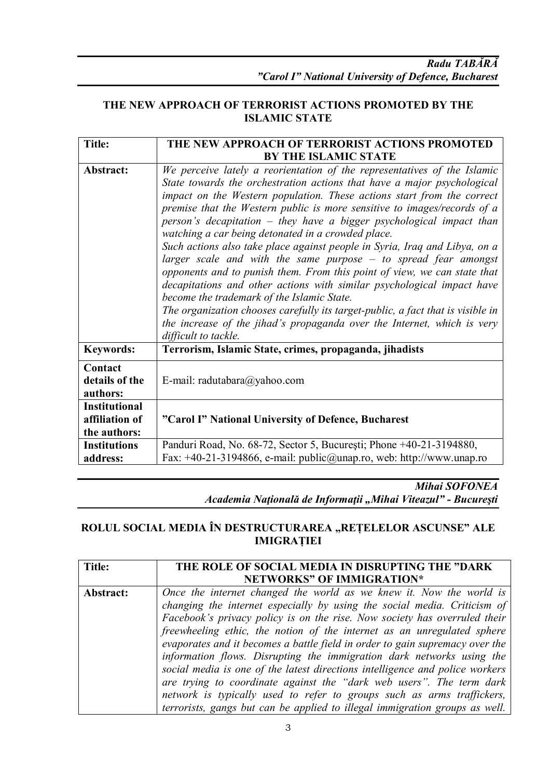#### **THE NEW APPROACH OF TERRORIST ACTIONS PROMOTED BY THE ISLAMIC STATE**

| <b>Title:</b>                                          | THE NEW APPROACH OF TERRORIST ACTIONS PROMOTED                                                                                                                                                                                                                                                                                                                                                                                                                                                                                                                                                                                                                                                                                                                                                                                                                                                                                                                                       |
|--------------------------------------------------------|--------------------------------------------------------------------------------------------------------------------------------------------------------------------------------------------------------------------------------------------------------------------------------------------------------------------------------------------------------------------------------------------------------------------------------------------------------------------------------------------------------------------------------------------------------------------------------------------------------------------------------------------------------------------------------------------------------------------------------------------------------------------------------------------------------------------------------------------------------------------------------------------------------------------------------------------------------------------------------------|
|                                                        | <b>BY THE ISLAMIC STATE</b>                                                                                                                                                                                                                                                                                                                                                                                                                                                                                                                                                                                                                                                                                                                                                                                                                                                                                                                                                          |
| Abstract:                                              | We perceive lately a reorientation of the representatives of the Islamic<br>State towards the orchestration actions that have a major psychological<br>impact on the Western population. These actions start from the correct<br>premise that the Western public is more sensitive to images/records of a<br>person's decapitation – they have a bigger psychological impact than<br>watching a car being detonated in a crowded place.<br>Such actions also take place against people in Syria, Iraq and Libya, on a<br>larger scale and with the same purpose $-$ to spread fear amongst<br>opponents and to punish them. From this point of view, we can state that<br>decapitations and other actions with similar psychological impact have<br>become the trademark of the Islamic State.<br>The organization chooses carefully its target-public, a fact that is visible in<br>the increase of the jihad's propaganda over the Internet, which is very<br>difficult to tackle. |
| <b>Keywords:</b>                                       | Terrorism, Islamic State, crimes, propaganda, jihadists                                                                                                                                                                                                                                                                                                                                                                                                                                                                                                                                                                                                                                                                                                                                                                                                                                                                                                                              |
| Contact<br>details of the<br>authors:                  | E-mail: radutabara@yahoo.com                                                                                                                                                                                                                                                                                                                                                                                                                                                                                                                                                                                                                                                                                                                                                                                                                                                                                                                                                         |
| <b>Institutional</b><br>affiliation of<br>the authors: | "Carol I" National University of Defence, Bucharest                                                                                                                                                                                                                                                                                                                                                                                                                                                                                                                                                                                                                                                                                                                                                                                                                                                                                                                                  |
| <b>Institutions</b><br>address:                        | Panduri Road, No. 68-72, Sector 5, București; Phone +40-21-3194880,<br>Fax: +40-21-3194866, e-mail: public@unap.ro, web: http://www.unap.ro                                                                                                                                                                                                                                                                                                                                                                                                                                                                                                                                                                                                                                                                                                                                                                                                                                          |

*Mihai SOFONEA*

*Academia Naţională de Informaţii "Mihai Viteazul" - Bucureşti*

#### **ROLUL SOCIAL MEDIA ÎN DESTRUCTURAREA "REȚELELOR ASCUNSE" ALE IMIGRAȚIEI**

| Title:    | THE ROLE OF SOCIAL MEDIA IN DISRUPTING THE "DARK                             |
|-----------|------------------------------------------------------------------------------|
|           | <b>NETWORKS" OF IMMIGRATION*</b>                                             |
| Abstract: | Once the internet changed the world as we knew it. Now the world is          |
|           | changing the internet especially by using the social media. Criticism of     |
|           | Facebook's privacy policy is on the rise. Now society has overruled their    |
|           | freewheeling ethic, the notion of the internet as an unregulated sphere      |
|           | evaporates and it becomes a battle field in order to gain supremacy over the |
|           | information flows. Disrupting the immigration dark networks using the        |
|           | social media is one of the latest directions intelligence and police workers |
|           | are trying to coordinate against the "dark web users". The term dark         |
|           | network is typically used to refer to groups such as arms traffickers,       |
|           | terrorists, gangs but can be applied to illegal immigration groups as well.  |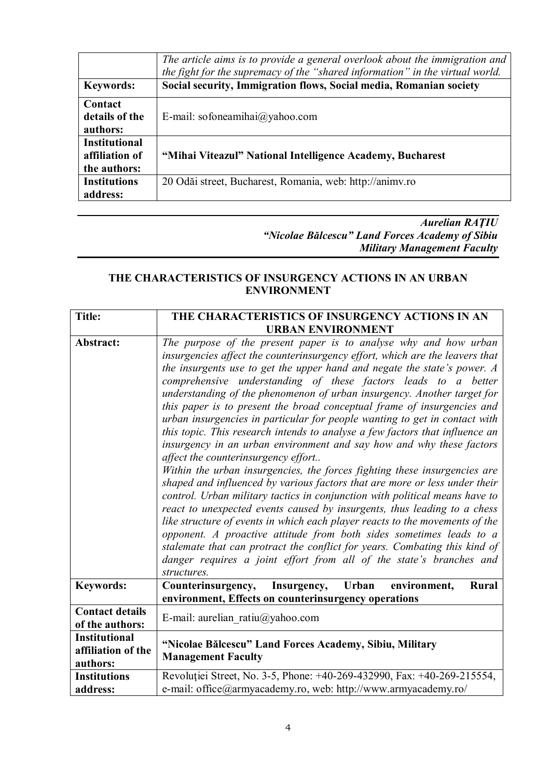| <b>Keywords:</b>                                       | The article aims is to provide a general overlook about the immigration and<br>the fight for the supremacy of the "shared information" in the virtual world.<br>Social security, Immigration flows, Social media, Romanian society |
|--------------------------------------------------------|------------------------------------------------------------------------------------------------------------------------------------------------------------------------------------------------------------------------------------|
| Contact<br>details of the<br>authors:                  | E-mail: sofoneamihai@yahoo.com                                                                                                                                                                                                     |
| <b>Institutional</b><br>affiliation of<br>the authors: | "Mihai Viteazul" National Intelligence Academy, Bucharest                                                                                                                                                                          |
| <b>Institutions</b><br>address:                        | 20 Odăi street, Bucharest, Romania, web: http://animy.ro                                                                                                                                                                           |

#### *Aurelian RAŢIU "Nicolae Bălcescu" Land Forces Academy of Sibiu Military Management Faculty*

#### **THE CHARACTERISTICS OF INSURGENCY ACTIONS IN AN URBAN ENVIRONMENT**

| <b>Title:</b>          | THE CHARACTERISTICS OF INSURGENCY ACTIONS IN AN                              |
|------------------------|------------------------------------------------------------------------------|
|                        | <b>URBAN ENVIRONMENT</b>                                                     |
| Abstract:              | The purpose of the present paper is to analyse why and how urban             |
|                        | insurgencies affect the counterinsurgency effort, which are the leavers that |
|                        | the insurgents use to get the upper hand and negate the state's power. A     |
|                        | comprehensive understanding of these factors leads to a better               |
|                        | understanding of the phenomenon of urban insurgency. Another target for      |
|                        | this paper is to present the broad conceptual frame of insurgencies and      |
|                        | urban insurgencies in particular for people wanting to get in contact with   |
|                        | this topic. This research intends to analyse a few factors that influence an |
|                        | insurgency in an urban environment and say how and why these factors         |
|                        | affect the counterinsurgency effort                                          |
|                        | Within the urban insurgencies, the forces fighting these insurgencies are    |
|                        | shaped and influenced by various factors that are more or less under their   |
|                        | control. Urban military tactics in conjunction with political means have to  |
|                        | react to unexpected events caused by insurgents, thus leading to a chess     |
|                        | like structure of events in which each player reacts to the movements of the |
|                        | opponent. A proactive attitude from both sides sometimes leads to a          |
|                        | stalemate that can protract the conflict for years. Combating this kind of   |
|                        | danger requires a joint effort from all of the state's branches and          |
|                        | structures.                                                                  |
| <b>Keywords:</b>       | Insurgency, Urban<br>environment,<br>Counterinsurgency,<br>Rural             |
|                        | environment, Effects on counterinsurgency operations                         |
| <b>Contact details</b> | E-mail: aurelian ratiu@yahoo.com                                             |
| of the authors:        |                                                                              |
| <b>Institutional</b>   | "Nicolae Bălcescu" Land Forces Academy, Sibiu, Military                      |
| affiliation of the     | <b>Management Faculty</b>                                                    |
| authors:               |                                                                              |
| <b>Institutions</b>    | Revoluției Street, No. 3-5, Phone: +40-269-432990, Fax: +40-269-215554,      |
| address:               | e-mail: office@armyacademy.ro, web: http://www.armyacademy.ro/               |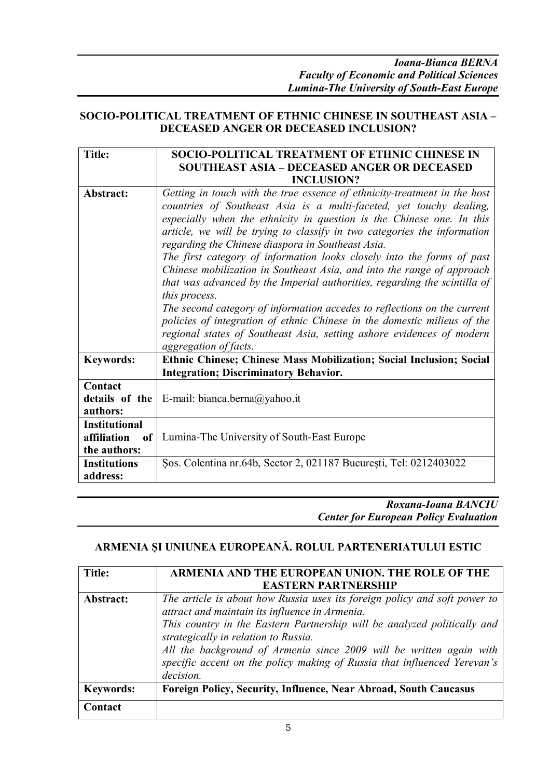#### **SOCIO-POLITICAL TREATMENT OF ETHNIC CHINESE IN SOUTHEAST ASIA – DECEASED ANGER OR DECEASED INCLUSION?**

| <b>Title:</b>                | SOCIO-POLITICAL TREATMENT OF ETHNIC CHINESE IN                            |
|------------------------------|---------------------------------------------------------------------------|
|                              | <b>SOUTHEAST ASIA - DECEASED ANGER OR DECEASED</b>                        |
|                              | <b>INCLUSION?</b>                                                         |
| Abstract:                    | Getting in touch with the true essence of ethnicity-treatment in the host |
|                              | countries of Southeast Asia is a multi-faceted, yet touchy dealing,       |
|                              | especially when the ethnicity in question is the Chinese one. In this     |
|                              | article, we will be trying to classify in two categories the information  |
|                              | regarding the Chinese diaspora in Southeast Asia.                         |
|                              | The first category of information looks closely into the forms of past    |
|                              | Chinese mobilization in Southeast Asia, and into the range of approach    |
|                              | that was advanced by the Imperial authorities, regarding the scintilla of |
|                              | this process.                                                             |
|                              | The second category of information accedes to reflections on the current  |
|                              | policies of integration of ethnic Chinese in the domestic milieus of the  |
|                              | regional states of Southeast Asia, setting ashore evidences of modern     |
|                              | aggregation of facts.                                                     |
| <b>Keywords:</b>             | Ethnic Chinese; Chinese Mass Mobilization; Social Inclusion; Social       |
|                              | <b>Integration; Discriminatory Behavior.</b>                              |
| Contact                      |                                                                           |
| details of the               | E-mail: bianca.berna@yahoo.it                                             |
| authors:                     |                                                                           |
| <b>Institutional</b>         |                                                                           |
| affiliation<br><sub>of</sub> | Lumina-The University of South-East Europe                                |
| the authors:                 |                                                                           |
| <b>Institutions</b>          | Sos. Colentina nr.64b, Sector 2, 021187 București, Tel: 0212403022        |
| address:                     |                                                                           |

*Roxana-Ioana BANCIU Center for European Policy Evaluation*

#### **ARMENIA ȘI UNIUNEA EUROPEANĂ. ROLUL PARTENERIATULUI ESTIC**

| Title:           | ARMENIA AND THE EUROPEAN UNION. THE ROLE OF THE                                                                                                                                                                                                                                                                                                                                                                 |
|------------------|-----------------------------------------------------------------------------------------------------------------------------------------------------------------------------------------------------------------------------------------------------------------------------------------------------------------------------------------------------------------------------------------------------------------|
|                  | <b>EASTERN PARTNERSHIP</b>                                                                                                                                                                                                                                                                                                                                                                                      |
| Abstract:        | The article is about how Russia uses its foreign policy and soft power to<br>attract and maintain its influence in Armenia.<br>This country in the Eastern Partnership will be analyzed politically and<br>strategically in relation to Russia.<br>All the background of Armenia since 2009 will be written again with<br>specific accent on the policy making of Russia that influenced Yerevan's<br>decision. |
| <b>Keywords:</b> | <b>Foreign Policy, Security, Influence, Near Abroad, South Caucasus</b>                                                                                                                                                                                                                                                                                                                                         |
| Contact          |                                                                                                                                                                                                                                                                                                                                                                                                                 |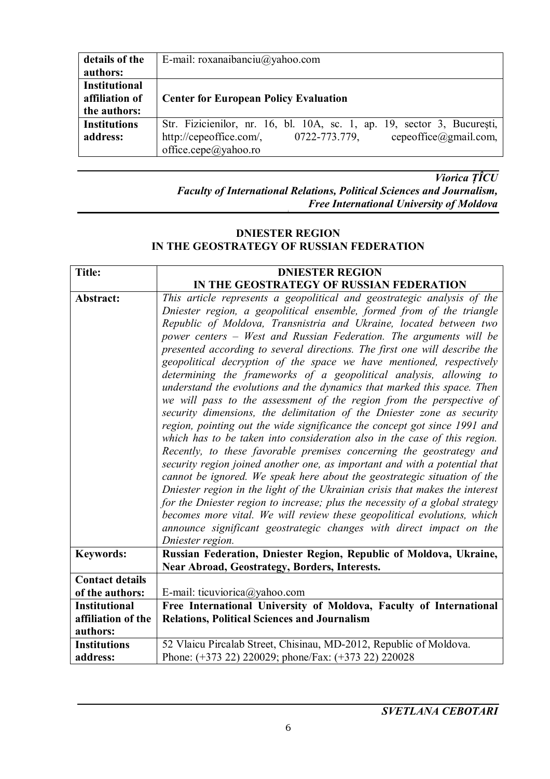| details of the       | E-mail: roxanaibanciu@yahoo.com                                         |
|----------------------|-------------------------------------------------------------------------|
| authors:             |                                                                         |
| <b>Institutional</b> |                                                                         |
| affiliation of       | <b>Center for European Policy Evaluation</b>                            |
| the authors:         |                                                                         |
| <b>Institutions</b>  | Str. Fizicienilor, nr. 16, bl. 10A, sc. 1, ap. 19, sector 3, București, |
| address:             | cepeoffice@gmail.com,<br>0722-773.779,<br>http://cepeoffice.com/,       |
|                      | office.cepe@yahoo.ro                                                    |

*Viorica ȚÎCU Faculty of International Relations, Political Sciences and Journalism, Free International University of Moldova*

#### **DNIESTER REGION IN THE GEOSTRATEGY OF RUSSIAN FEDERATION**

| <b>Title:</b>          | <b>DNIESTER REGION</b>                                                                                                                                                                                                                                                                                                                                                                                                                                                                                                                                                                                                                                                                                                                                                                                                                                                                                                                                                                                                                                                                                                                                                                                                                                                                                                                                                                                                                                              |
|------------------------|---------------------------------------------------------------------------------------------------------------------------------------------------------------------------------------------------------------------------------------------------------------------------------------------------------------------------------------------------------------------------------------------------------------------------------------------------------------------------------------------------------------------------------------------------------------------------------------------------------------------------------------------------------------------------------------------------------------------------------------------------------------------------------------------------------------------------------------------------------------------------------------------------------------------------------------------------------------------------------------------------------------------------------------------------------------------------------------------------------------------------------------------------------------------------------------------------------------------------------------------------------------------------------------------------------------------------------------------------------------------------------------------------------------------------------------------------------------------|
|                        | IN THE GEOSTRATEGY OF RUSSIAN FEDERATION                                                                                                                                                                                                                                                                                                                                                                                                                                                                                                                                                                                                                                                                                                                                                                                                                                                                                                                                                                                                                                                                                                                                                                                                                                                                                                                                                                                                                            |
| Abstract:              | This article represents a geopolitical and geostrategic analysis of the<br>Dniester region, a geopolitical ensemble, formed from of the triangle<br>Republic of Moldova, Transnistria and Ukraine, located between two<br>power centers - West and Russian Federation. The arguments will be<br>presented according to several directions. The first one will describe the<br>geopolitical decryption of the space we have mentioned, respectively<br>determining the frameworks of a geopolitical analysis, allowing to<br>understand the evolutions and the dynamics that marked this space. Then<br>we will pass to the assessment of the region from the perspective of<br>security dimensions, the delimitation of the Dniester zone as security<br>region, pointing out the wide significance the concept got since 1991 and<br>which has to be taken into consideration also in the case of this region.<br>Recently, to these favorable premises concerning the geostrategy and<br>security region joined another one, as important and with a potential that<br>cannot be ignored. We speak here about the geostrategic situation of the<br>Dniester region in the light of the Ukrainian crisis that makes the interest<br>for the Dniester region to increase; plus the necessity of a global strategy<br>becomes more vital. We will review these geopolitical evolutions, which<br>announce significant geostrategic changes with direct impact on the |
|                        | Dniester region.                                                                                                                                                                                                                                                                                                                                                                                                                                                                                                                                                                                                                                                                                                                                                                                                                                                                                                                                                                                                                                                                                                                                                                                                                                                                                                                                                                                                                                                    |
| <b>Keywords:</b>       | Russian Federation, Dniester Region, Republic of Moldova, Ukraine,<br>Near Abroad, Geostrategy, Borders, Interests.                                                                                                                                                                                                                                                                                                                                                                                                                                                                                                                                                                                                                                                                                                                                                                                                                                                                                                                                                                                                                                                                                                                                                                                                                                                                                                                                                 |
| <b>Contact details</b> |                                                                                                                                                                                                                                                                                                                                                                                                                                                                                                                                                                                                                                                                                                                                                                                                                                                                                                                                                                                                                                                                                                                                                                                                                                                                                                                                                                                                                                                                     |
| of the authors:        | E-mail: ticuviorica@yahoo.com                                                                                                                                                                                                                                                                                                                                                                                                                                                                                                                                                                                                                                                                                                                                                                                                                                                                                                                                                                                                                                                                                                                                                                                                                                                                                                                                                                                                                                       |
| <b>Institutional</b>   | Free International University of Moldova, Faculty of International                                                                                                                                                                                                                                                                                                                                                                                                                                                                                                                                                                                                                                                                                                                                                                                                                                                                                                                                                                                                                                                                                                                                                                                                                                                                                                                                                                                                  |
| affiliation of the     | <b>Relations, Political Sciences and Journalism</b>                                                                                                                                                                                                                                                                                                                                                                                                                                                                                                                                                                                                                                                                                                                                                                                                                                                                                                                                                                                                                                                                                                                                                                                                                                                                                                                                                                                                                 |
| authors:               |                                                                                                                                                                                                                                                                                                                                                                                                                                                                                                                                                                                                                                                                                                                                                                                                                                                                                                                                                                                                                                                                                                                                                                                                                                                                                                                                                                                                                                                                     |
| <b>Institutions</b>    | 52 Vlaicu Pircalab Street, Chisinau, MD-2012, Republic of Moldova.                                                                                                                                                                                                                                                                                                                                                                                                                                                                                                                                                                                                                                                                                                                                                                                                                                                                                                                                                                                                                                                                                                                                                                                                                                                                                                                                                                                                  |
| address:               | Phone: (+373 22) 220029; phone/Fax: (+373 22) 220028                                                                                                                                                                                                                                                                                                                                                                                                                                                                                                                                                                                                                                                                                                                                                                                                                                                                                                                                                                                                                                                                                                                                                                                                                                                                                                                                                                                                                |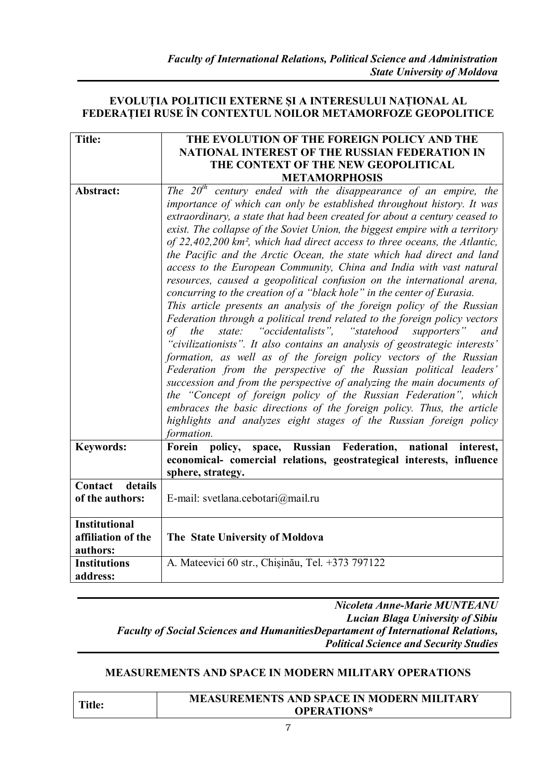#### **EVOLUȚIA POLITICII EXTERNE ȘI A INTERESULUI NAȚIONAL AL FEDERAȚIEI RUSE ÎN CONTEXTUL NOILOR METAMORFOZE GEOPOLITICE**

| <b>Title:</b>        | THE EVOLUTION OF THE FOREIGN POLICY AND THE                                            |
|----------------------|----------------------------------------------------------------------------------------|
|                      | NATIONAL INTEREST OF THE RUSSIAN FEDERATION IN                                         |
|                      | THE CONTEXT OF THE NEW GEOPOLITICAL                                                    |
|                      | <b>METAMORPHOSIS</b>                                                                   |
| Abstract:            | The $20th$ century ended with the disappearance of an empire, the                      |
|                      | importance of which can only be established throughout history. It was                 |
|                      | extraordinary, a state that had been created for about a century ceased to             |
|                      | exist. The collapse of the Soviet Union, the biggest empire with a territory           |
|                      | of 22,402,200 km <sup>2</sup> , which had direct access to three oceans, the Atlantic, |
|                      | the Pacific and the Arctic Ocean, the state which had direct and land                  |
|                      | access to the European Community, China and India with vast natural                    |
|                      | resources, caused a geopolitical confusion on the international arena,                 |
|                      | concurring to the creation of a "black hole" in the center of Eurasia.                 |
|                      | This article presents an analysis of the foreign policy of the Russian                 |
|                      | Federation through a political trend related to the foreign policy vectors             |
|                      | state: "occidentalists", "statehood supporters"<br>of<br>the<br>and                    |
|                      | 'civilizationists". It also contains an analysis of geostrategic interests'            |
|                      | formation, as well as of the foreign policy vectors of the Russian                     |
|                      | Federation from the perspective of the Russian political leaders'                      |
|                      | succession and from the perspective of analyzing the main documents of                 |
|                      | the "Concept of foreign policy of the Russian Federation", which                       |
|                      | embraces the basic directions of the foreign policy. Thus, the article                 |
|                      | highlights and analyzes eight stages of the Russian foreign policy                     |
|                      | formation.                                                                             |
| <b>Keywords:</b>     | space, Russian Federation, national interest,<br>Forein policy,                        |
|                      | economical- comercial relations, geostrategical interests, influence                   |
|                      | sphere, strategy.                                                                      |
| details<br>Contact   |                                                                                        |
| of the authors:      | E-mail: svetlana.cebotari@mail.ru                                                      |
|                      |                                                                                        |
| <b>Institutional</b> |                                                                                        |
| affiliation of the   | The State University of Moldova                                                        |
| authors:             |                                                                                        |
| <b>Institutions</b>  | A. Mateevici 60 str., Chișinău, Tel. +373 797122                                       |
| address:             |                                                                                        |

*Nicoleta Anne-Marie MUNTEANU Lucian Blaga University of Sibiu Faculty of Social Sciences and HumanitiesDepartament of International Relations, Political Science and Security Studies*

#### **MEASUREMENTS AND SPACE IN MODERN MILITARY OPERATIONS**

**Title:**

#### **MEASUREMENTS AND SPACE IN MODERN MILITARY OPERATIONS\***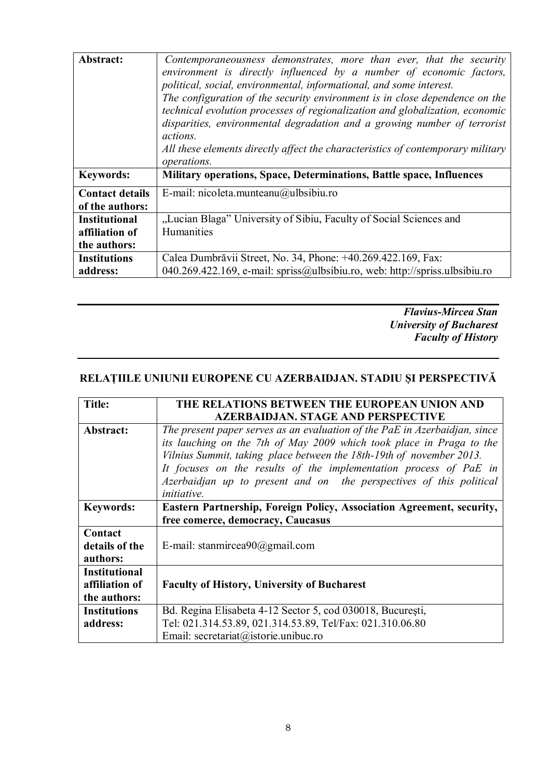| Abstract:                                              | Contemporaneousness demonstrates, more than ever, that the security<br>environment is directly influenced by a number of economic factors,<br>political, social, environmental, informational, and some interest.<br>The configuration of the security environment is in close dependence on the<br>technical evolution processes of regionalization and globalization, economic<br>disparities, environmental degradation and a growing number of terrorist<br><i>actions.</i><br>All these elements directly affect the characteristics of contemporary military<br>operations. |
|--------------------------------------------------------|-----------------------------------------------------------------------------------------------------------------------------------------------------------------------------------------------------------------------------------------------------------------------------------------------------------------------------------------------------------------------------------------------------------------------------------------------------------------------------------------------------------------------------------------------------------------------------------|
| <b>Keywords:</b>                                       | Military operations, Space, Determinations, Battle space, Influences                                                                                                                                                                                                                                                                                                                                                                                                                                                                                                              |
| <b>Contact details</b><br>of the authors:              | E-mail: nicoleta.munteanu@ulbsibiu.ro                                                                                                                                                                                                                                                                                                                                                                                                                                                                                                                                             |
| <b>Institutional</b><br>affiliation of<br>the authors: | "Lucian Blaga" University of Sibiu, Faculty of Social Sciences and<br>Humanities                                                                                                                                                                                                                                                                                                                                                                                                                                                                                                  |
| <b>Institutions</b><br>address:                        | Calea Dumbrăvii Street, No. 34, Phone: +40.269.422.169, Fax:<br>040.269.422.169, e-mail: spriss@ulbsibiu.ro, web: http://spriss.ulbsibiu.ro                                                                                                                                                                                                                                                                                                                                                                                                                                       |

*Flavius-Mircea Stan University of Bucharest Faculty of History*

#### **RELAȚIILE UNIUNII EUROPENE CU AZERBAIDJAN. STADIU ȘI PERSPECTIVĂ**

| <b>Title:</b>        | THE RELATIONS BETWEEN THE EUROPEAN UNION AND                               |
|----------------------|----------------------------------------------------------------------------|
|                      | <b>AZERBAIDJAN. STAGE AND PERSPECTIVE</b>                                  |
| Abstract:            | The present paper serves as an evaluation of the PaE in Azerbaidjan, since |
|                      | its lauching on the 7th of May 2009 which took place in Praga to the       |
|                      | Vilnius Summit, taking place between the 18th-19th of november 2013.       |
|                      | It focuses on the results of the implementation process of PaE in          |
|                      | Azerbaidjan up to present and on the perspectives of this political        |
|                      | <i>initiative.</i>                                                         |
| <b>Keywords:</b>     | Eastern Partnership, Foreign Policy, Association Agreement, security,      |
|                      | free comerce, democracy, Caucasus                                          |
| Contact              |                                                                            |
| details of the       | E-mail: stanmircea90@gmail.com                                             |
| authors:             |                                                                            |
| <b>Institutional</b> |                                                                            |
| affiliation of       | <b>Faculty of History, University of Bucharest</b>                         |
| the authors:         |                                                                            |
| <b>Institutions</b>  | Bd. Regina Elisabeta 4-12 Sector 5, cod 030018, București,                 |
| address:             | Tel: 021.314.53.89, 021.314.53.89, Tel/Fax: 021.310.06.80                  |
|                      | Email: secretariat@istorie.unibuc.ro                                       |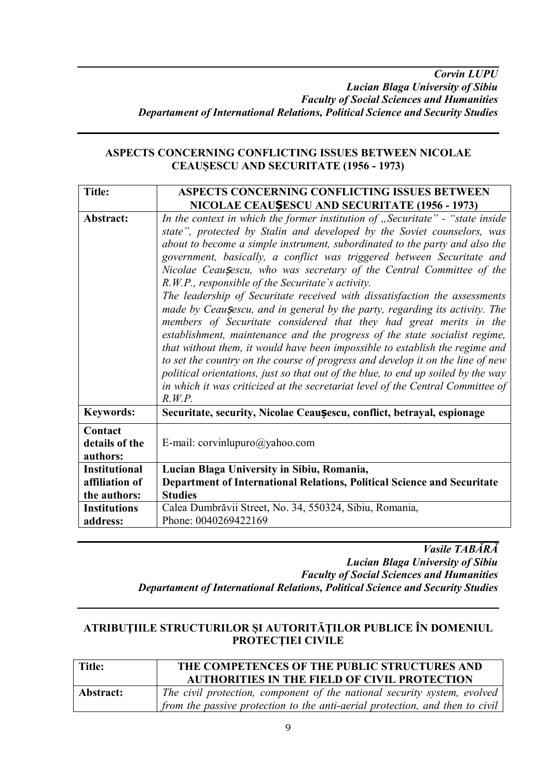#### **ASPECTS CONCERNING CONFLICTING ISSUES BETWEEN NICOLAE CEAUȘESCU AND SECURITATE (1956 - 1973)**

| <b>Title:</b>                         | ASPECTS CONCERNING CONFLICTING ISSUES BETWEEN                                                                                                                                                                                                                                                                                                                                                                                                                                                                                                                                                                                                                                                                                                                                                                                                                                                                                                                                                                                                                                                                        |
|---------------------------------------|----------------------------------------------------------------------------------------------------------------------------------------------------------------------------------------------------------------------------------------------------------------------------------------------------------------------------------------------------------------------------------------------------------------------------------------------------------------------------------------------------------------------------------------------------------------------------------------------------------------------------------------------------------------------------------------------------------------------------------------------------------------------------------------------------------------------------------------------------------------------------------------------------------------------------------------------------------------------------------------------------------------------------------------------------------------------------------------------------------------------|
|                                       | NICOLAE CEAUȘESCU AND SECURITATE (1956 - 1973)                                                                                                                                                                                                                                                                                                                                                                                                                                                                                                                                                                                                                                                                                                                                                                                                                                                                                                                                                                                                                                                                       |
| Abstract:                             | In the context in which the former institution of "Securitate" - "state inside<br>state", protected by Stalin and developed by the Soviet counselors, was<br>about to become a simple instrument, subordinated to the party and also the<br>government, basically, a conflict was triggered between Securitate and<br>Nicolae Ceaușescu, who was secretary of the Central Committee of the<br>R.W.P., responsible of the Securitate's activity.<br>The leadership of Securitate received with dissatisfaction the assessments<br>made by Ceausescu, and in general by the party, regarding its activity. The<br>members of Securitate considered that they had great merits in the<br>establishment, maintenance and the progress of the state socialist regime,<br>that without them, it would have been impossible to establish the regime and<br>to set the country on the course of progress and develop it on the line of new<br>political orientations, just so that out of the blue, to end up soiled by the way<br>in which it was criticized at the secretariat level of the Central Committee of<br>R.W.P. |
| <b>Keywords:</b>                      | Securitate, security, Nicolae Ceaușescu, conflict, betrayal, espionage                                                                                                                                                                                                                                                                                                                                                                                                                                                                                                                                                                                                                                                                                                                                                                                                                                                                                                                                                                                                                                               |
| Contact<br>details of the<br>authors: | E-mail: corvinlupuro@yahoo.com                                                                                                                                                                                                                                                                                                                                                                                                                                                                                                                                                                                                                                                                                                                                                                                                                                                                                                                                                                                                                                                                                       |
| <b>Institutional</b>                  | Lucian Blaga University in Sibiu, Romania,                                                                                                                                                                                                                                                                                                                                                                                                                                                                                                                                                                                                                                                                                                                                                                                                                                                                                                                                                                                                                                                                           |
| affiliation of                        | Department of International Relations, Political Science and Securitate                                                                                                                                                                                                                                                                                                                                                                                                                                                                                                                                                                                                                                                                                                                                                                                                                                                                                                                                                                                                                                              |
| the authors:                          | <b>Studies</b>                                                                                                                                                                                                                                                                                                                                                                                                                                                                                                                                                                                                                                                                                                                                                                                                                                                                                                                                                                                                                                                                                                       |
| <b>Institutions</b>                   | Calea Dumbrăvii Street, No. 34, 550324, Sibiu, Romania,                                                                                                                                                                                                                                                                                                                                                                                                                                                                                                                                                                                                                                                                                                                                                                                                                                                                                                                                                                                                                                                              |
| address:                              | Phone: 0040269422169                                                                                                                                                                                                                                                                                                                                                                                                                                                                                                                                                                                                                                                                                                                                                                                                                                                                                                                                                                                                                                                                                                 |

*Vasile TABĂRĂ Lucian Blaga University of Sibiu Faculty of Social Sciences and Humanities Departament of International Relations, Political Science and Security Studies*

#### **ATRIBUŢIILE STRUCTURILOR ŞI AUTORITĂŢILOR PUBLICE ÎN DOMENIUL PROTECŢIEI CIVILE**

| <b>Title:</b> | THE COMPETENCES OF THE PUBLIC STRUCTURES AND<br><b>AUTHORITIES IN THE FIELD OF CIVIL PROTECTION</b>                                                      |
|---------------|----------------------------------------------------------------------------------------------------------------------------------------------------------|
| Abstract:     | The civil protection, component of the national security system, evolved<br>from the passive protection to the anti-aerial protection, and then to civil |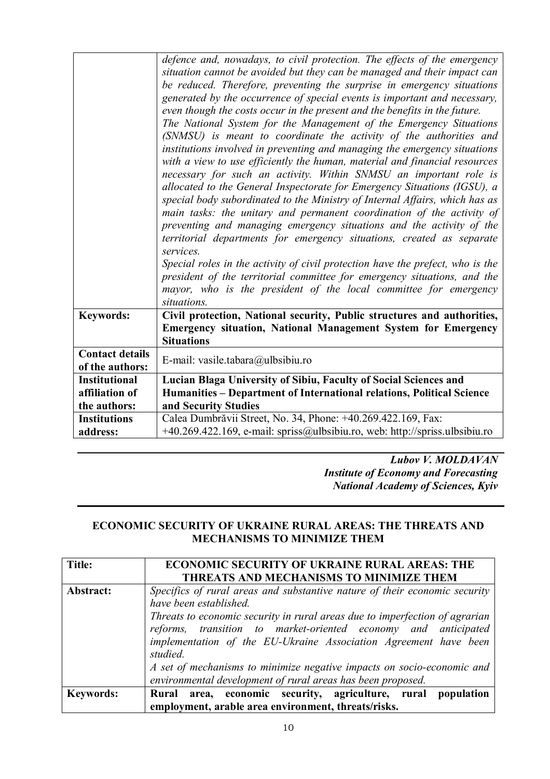|                                           | defence and, nowadays, to civil protection. The effects of the emergency<br>situation cannot be avoided but they can be managed and their impact can<br>be reduced. Therefore, preventing the surprise in emergency situations<br>generated by the occurrence of special events is important and necessary,<br>even though the costs occur in the present and the benefits in the future.<br>The National System for the Management of the Emergency Situations<br>(SNMSU) is meant to coordinate the activity of the authorities and<br>institutions involved in preventing and managing the emergency situations<br>with a view to use efficiently the human, material and financial resources<br>necessary for such an activity. Within SNMSU an important role is<br>allocated to the General Inspectorate for Emergency Situations (IGSU), a<br>special body subordinated to the Ministry of Internal Affairs, which has as<br>main tasks: the unitary and permanent coordination of the activity of<br>preventing and managing emergency situations and the activity of the<br>territorial departments for emergency situations, created as separate<br>services.<br>Special roles in the activity of civil protection have the prefect, who is the<br>president of the territorial committee for emergency situations, and the<br>mayor, who is the president of the local committee for emergency<br>situations. |
|-------------------------------------------|--------------------------------------------------------------------------------------------------------------------------------------------------------------------------------------------------------------------------------------------------------------------------------------------------------------------------------------------------------------------------------------------------------------------------------------------------------------------------------------------------------------------------------------------------------------------------------------------------------------------------------------------------------------------------------------------------------------------------------------------------------------------------------------------------------------------------------------------------------------------------------------------------------------------------------------------------------------------------------------------------------------------------------------------------------------------------------------------------------------------------------------------------------------------------------------------------------------------------------------------------------------------------------------------------------------------------------------------------------------------------------------------------------------------------|
| <b>Keywords:</b>                          | Civil protection, National security, Public structures and authorities,<br><b>Emergency situation, National Management System for Emergency</b><br><b>Situations</b>                                                                                                                                                                                                                                                                                                                                                                                                                                                                                                                                                                                                                                                                                                                                                                                                                                                                                                                                                                                                                                                                                                                                                                                                                                                     |
| <b>Contact details</b><br>of the authors: | E-mail: vasile.tabara@ulbsibiu.ro                                                                                                                                                                                                                                                                                                                                                                                                                                                                                                                                                                                                                                                                                                                                                                                                                                                                                                                                                                                                                                                                                                                                                                                                                                                                                                                                                                                        |
| <b>Institutional</b>                      | Lucian Blaga University of Sibiu, Faculty of Social Sciences and                                                                                                                                                                                                                                                                                                                                                                                                                                                                                                                                                                                                                                                                                                                                                                                                                                                                                                                                                                                                                                                                                                                                                                                                                                                                                                                                                         |
| affiliation of                            | Humanities - Department of International relations, Political Science                                                                                                                                                                                                                                                                                                                                                                                                                                                                                                                                                                                                                                                                                                                                                                                                                                                                                                                                                                                                                                                                                                                                                                                                                                                                                                                                                    |
| the authors:                              | and Security Studies                                                                                                                                                                                                                                                                                                                                                                                                                                                                                                                                                                                                                                                                                                                                                                                                                                                                                                                                                                                                                                                                                                                                                                                                                                                                                                                                                                                                     |
| <b>Institutions</b>                       | Calea Dumbrăvii Street, No. 34, Phone: +40.269.422.169, Fax:                                                                                                                                                                                                                                                                                                                                                                                                                                                                                                                                                                                                                                                                                                                                                                                                                                                                                                                                                                                                                                                                                                                                                                                                                                                                                                                                                             |
| address:                                  | +40.269.422.169, e-mail: spriss@ulbsibiu.ro, web: http://spriss.ulbsibiu.ro                                                                                                                                                                                                                                                                                                                                                                                                                                                                                                                                                                                                                                                                                                                                                                                                                                                                                                                                                                                                                                                                                                                                                                                                                                                                                                                                              |

*Lubov V. MOLDAVAN Institute of Economy and Forecasting National Academy of Sciences, Kyiv*

#### **ECONOMIC SECURITY OF UKRAINE RURAL AREAS: THE THREATS AND MECHANISMS TO MINIMIZE THEM**

| Title:           | <b>ECONOMIC SECURITY OF UKRAINE RURAL AREAS: THE</b>                                                                                                                                                                                                                                                                                  |
|------------------|---------------------------------------------------------------------------------------------------------------------------------------------------------------------------------------------------------------------------------------------------------------------------------------------------------------------------------------|
|                  | THREATS AND MECHANISMS TO MINIMIZE THEM                                                                                                                                                                                                                                                                                               |
| Abstract:        | Specifics of rural areas and substantive nature of their economic security<br>have been established.<br>Threats to economic security in rural areas due to imperfection of agrarian<br>reforms, transition to market-oriented economy and anticipated<br>implementation of the EU-Ukraine Association Agreement have been<br>studied. |
|                  | A set of mechanisms to minimize negative impacts on socio-economic and<br>environmental development of rural areas has been proposed.                                                                                                                                                                                                 |
| <b>Keywords:</b> | Rural area, economic security, agriculture, rural population<br>employment, arable area environment, threats/risks.                                                                                                                                                                                                                   |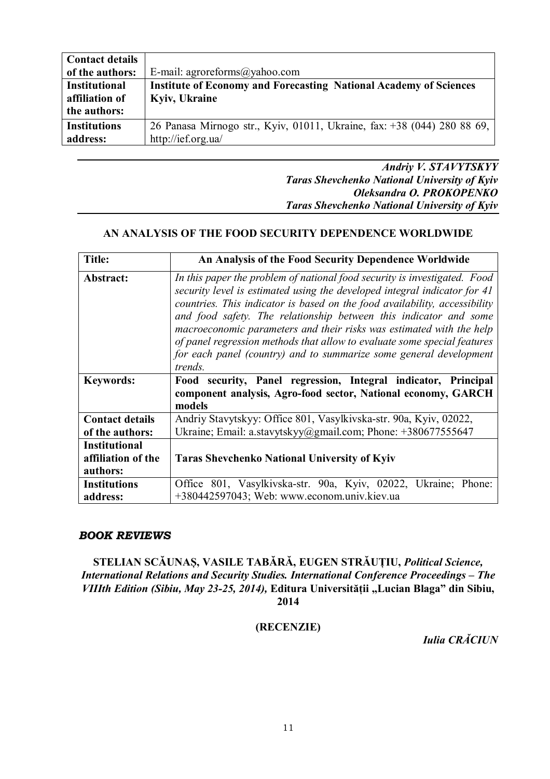| <b>Contact details</b> |                                                                          |
|------------------------|--------------------------------------------------------------------------|
| of the authors:        | E-mail: agroreforms@yahoo.com                                            |
| <b>Institutional</b>   | <b>Institute of Economy and Forecasting National Academy of Sciences</b> |
| affiliation of         | Kyiv, Ukraine                                                            |
| the authors:           |                                                                          |
| <b>Institutions</b>    | 26 Panasa Mirnogo str., Kyiv, 01011, Ukraine, fax: +38 (044) 280 88 69,  |
| address:               | http://ief.org.ua/                                                       |
|                        |                                                                          |

*Andriy V. STAVYTSKYY Taras Shevchenko National University of Kyiv Oleksandra O. PROKOPENKO Taras Shevchenko National University of Kyiv*

#### **AN ANALYSIS OF THE FOOD SECURITY DEPENDENCE WORLDWIDE**

| <b>Title:</b>                                          | An Analysis of the Food Security Dependence Worldwide                                                                                                                                                                                                                                                                                                                                                                                                                                                                                          |
|--------------------------------------------------------|------------------------------------------------------------------------------------------------------------------------------------------------------------------------------------------------------------------------------------------------------------------------------------------------------------------------------------------------------------------------------------------------------------------------------------------------------------------------------------------------------------------------------------------------|
| Abstract:                                              | In this paper the problem of national food security is investigated. Food<br>security level is estimated using the developed integral indicator for 41<br>countries. This indicator is based on the food availability, accessibility<br>and food safety. The relationship between this indicator and some<br>macroeconomic parameters and their risks was estimated with the help<br>of panel regression methods that allow to evaluate some special features<br>for each panel (country) and to summarize some general development<br>trends. |
| <b>Keywords:</b>                                       | Food security, Panel regression, Integral indicator, Principal<br>component analysis, Agro-food sector, National economy, GARCH<br>models                                                                                                                                                                                                                                                                                                                                                                                                      |
| <b>Contact details</b>                                 | Andriy Stavytskyy: Office 801, Vasylkivska-str. 90a, Kyiv, 02022,                                                                                                                                                                                                                                                                                                                                                                                                                                                                              |
| of the authors:                                        | Ukraine; Email: a.stavytskyy@gmail.com; Phone: +380677555647                                                                                                                                                                                                                                                                                                                                                                                                                                                                                   |
| <b>Institutional</b><br>affiliation of the<br>authors: | <b>Taras Shevchenko National University of Kyiv</b>                                                                                                                                                                                                                                                                                                                                                                                                                                                                                            |
| <b>Institutions</b><br>address:                        | Office 801, Vasylkivska-str. 90a, Kyiv, 02022, Ukraine; Phone:<br>+380442597043; Web: www.econom.univ.kiev.ua                                                                                                                                                                                                                                                                                                                                                                                                                                  |

#### *BOOK REVIEWS*

**STELIAN SCĂUNAȘ, VASILE TABĂRĂ, EUGEN STRĂUȚIU,** *Political Science, International Relations and Security Studies. International Conference Proceedings – The VIIIth Edition (Sibiu, May 23-25, 2014),* **Editura Universității "Lucian Blaga" din Sibiu, 2014**

#### **(RECENZIE)**

*Iulia CRĂCIUN*